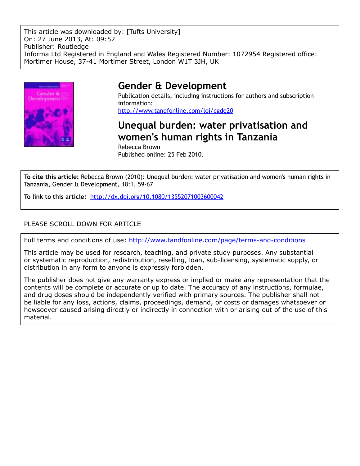This article was downloaded by: [Tufts University] On: 27 June 2013, At: 09:52 Publisher: Routledge Informa Ltd Registered in England and Wales Registered Number: 1072954 Registered office: Mortimer House, 37-41 Mortimer Street, London W1T 3JH, UK



## **Gender & Development**

Publication details, including instructions for authors and subscription information: http://www.tandfonline.com/loi/cgde20

### **Unequal burden: water privatisation and women's human rights in Tanzania**

Rebecca Brown Published online: 25 Feb 2010.

**To cite this article:** Rebecca Brown (2010): Unequal burden: water privatisation and women's human rights in Tanzania, Gender & Development, 18:1, 59-67

**To link to this article:** http://dx.doi.org/10.1080/13552071003600042

### PLEASE SCROLL DOWN FOR ARTICLE

Full terms and conditions of use: http://www.tandfonline.com/page/terms-and-conditions

This article may be used for research, teaching, and private study purposes. Any substantial or systematic reproduction, redistribution, reselling, loan, sub-licensing, systematic supply, or distribution in any form to anyone is expressly forbidden.

The publisher does not give any warranty express or implied or make any representation that the contents will be complete or accurate or up to date. The accuracy of any instructions, formulae, and drug doses should be independently verified with primary sources. The publisher shall not be liable for any loss, actions, claims, proceedings, demand, or costs or damages whatsoever or howsoever caused arising directly or indirectly in connection with or arising out of the use of this material.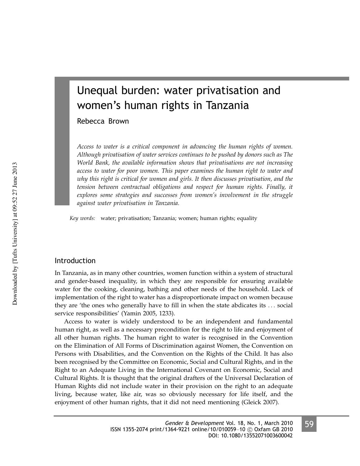# Unequal burden: water privatisation and women's human rights in Tanzania

Rebecca Brown

Access to water is a critical component in advancing the human rights of women. Although privatisation of water services continues to be pushed by donors such as The World Bank, the available information shows that privatisations are not increasing access to water for poor women. This paper examines the human right to water and why this right is critical for women and girls. It then discusses privatisation, and the tension between contractual obligations and respect for human rights. Finally, it explores some strategies and successes from women's involvement in the struggle against water privatisation in Tanzania.

Key words: water; privatisation; Tanzania; women; human rights; equality

#### Introduction

In Tanzania, as in many other countries, women function within a system of structural and gender-based inequality, in which they are responsible for ensuring available water for the cooking, cleaning, bathing and other needs of the household. Lack of implementation of the right to water has a disproportionate impact on women because they are 'the ones who generally have to fill in when the state abdicates its ... social service responsibilities' (Yamin 2005, 1233).

Access to water is widely understood to be an independent and fundamental human right, as well as a necessary precondition for the right to life and enjoyment of all other human rights. The human right to water is recognised in the Convention on the Elimination of All Forms of Discrimination against Women, the Convention on Persons with Disabilities, and the Convention on the Rights of the Child. It has also been recognised by the Committee on Economic, Social and Cultural Rights, and in the Right to an Adequate Living in the International Covenant on Economic, Social and Cultural Rights. It is thought that the original drafters of the Universal Declaration of Human Rights did not include water in their provision on the right to an adequate living, because water, like air, was so obviously necessary for life itself, and the enjoyment of other human rights, that it did not need mentioning (Gleick 2007).

59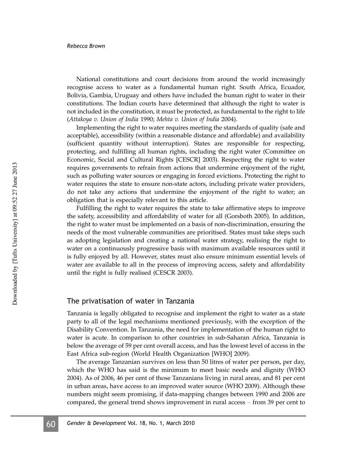National constitutions and court decisions from around the world increasingly recognise access to water as a fundamental human right. South Africa, Ecuador, Bolivia, Gambia, Uruguay and others have included the human right to water in their constitutions. The Indian courts have determined that although the right to water is not included in the constitution, it must be protected, as fundamental to the right to life (Attakoya v. Union of India 1990; Mehta v. Union of India 2004).

Implementing the right to water requires meeting the standards of quality (safe and acceptable), accessibility (within a reasonable distance and affordable) and availability (sufficient quantity without interruption). States are responsible for respecting, protecting, and fulfilling all human rights, including the right water (Committee on Economic, Social and Cultural Rights [CESCR] 2003). Respecting the right to water requires governments to refrain from actions that undermine enjoyment of the right, such as polluting water sources or engaging in forced evictions. Protecting the right to water requires the state to ensure non-state actors, including private water providers, do not take any actions that undermine the enjoyment of the right to water; an obligation that is especially relevant to this article.

Fulfilling the right to water requires the state to take affirmative steps to improve the safety, accessibility and affordability of water for all (Gorsboth 2005). In addition, the right to water must be implemented on a basis of non-discrimination, ensuring the needs of the most vulnerable communities are prioritised. States must take steps such as adopting legislation and creating a national water strategy, realising the right to water on a continuously progressive basis with maximum available resources until it is fully enjoyed by all. However, states must also ensure minimum essential levels of water are available to all in the process of improving access, safety and affordability until the right is fully realised (CESCR 2003).

#### The privatisation of water in Tanzania

Tanzania is legally obligated to recognise and implement the right to water as a state party to all of the legal mechanisms mentioned previously, with the exception of the Disability Convention. In Tanzania, the need for implementation of the human right to water is acute. In comparison to other countries in sub-Saharan Africa, Tanzania is below the average of 59 per cent overall access, and has the lowest level of access in the East Africa sub-region (World Health Organization [WHO] 2009).

The average Tanzanian survives on less than 50 litres of water per person, per day, which the WHO has said is the minimum to meet basic needs and dignity (WHO 2004). As of 2006, 46 per cent of those Tanzanians living in rural areas, and 81 per cent in urban areas, have access to an improved water source (WHO 2009). Although these numbers might seem promising, if data-mapping changes between 1990 and 2006 are compared, the general trend shows improvement in rural access  $-$  from 39 per cent to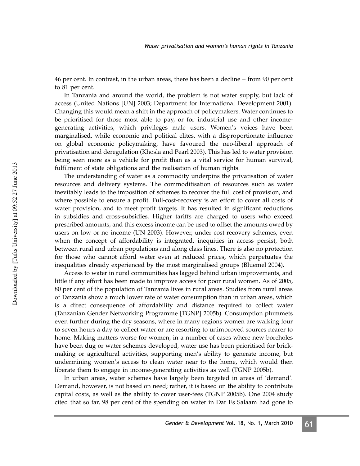46 per cent. In contrast, in the urban areas, there has been a decline  $-$  from 90 per cent to 81 per cent.

In Tanzania and around the world, the problem is not water supply, but lack of access (United Nations [UN] 2003; Department for International Development 2001). Changing this would mean a shift in the approach of policymakers. Water continues to be prioritised for those most able to pay, or for industrial use and other incomegenerating activities, which privileges male users. Women's voices have been marginalised, while economic and political elites, with a disproportionate influence on global economic policymaking, have favoured the neo-liberal approach of privatisation and deregulation (Khosla and Pearl 2003). This has led to water provision being seen more as a vehicle for profit than as a vital service for human survival, fulfilment of state obligations and the realisation of human rights.

The understanding of water as a commodity underpins the privatisation of water resources and delivery systems. The commoditisation of resources such as water inevitably leads to the imposition of schemes to recover the full cost of provision, and where possible to ensure a profit. Full-cost-recovery is an effort to cover all costs of water provision, and to meet profit targets. It has resulted in significant reductions in subsidies and cross-subsidies. Higher tariffs are charged to users who exceed prescribed amounts, and this excess income can be used to offset the amounts owed by users on low or no income (UN 2003). However, under cost-recovery schemes, even when the concept of affordability is integrated, inequities in access persist, both between rural and urban populations and along class lines. There is also no protection for those who cannot afford water even at reduced prices, which perpetuates the inequalities already experienced by the most marginalised groups (Bluemel 2004).

Access to water in rural communities has lagged behind urban improvements, and little if any effort has been made to improve access for poor rural women. As of 2005, 80 per cent of the population of Tanzania lives in rural areas. Studies from rural areas of Tanzania show a much lower rate of water consumption than in urban areas, which is a direct consequence of affordability and distance required to collect water (Tanzanian Gender Networking Programme [TGNP] 2005b). Consumption plummets even further during the dry seasons, where in many regions women are walking four to seven hours a day to collect water or are resorting to unimproved sources nearer to home. Making matters worse for women, in a number of cases where new boreholes have been dug or water schemes developed, water use has been prioritised for brickmaking or agricultural activities, supporting men's ability to generate income, but undermining women's access to clean water near to the home, which would then liberate them to engage in income-generating activities as well (TGNP 2005b).

In urban areas, water schemes have largely been targeted in areas of 'demand'. Demand, however, is not based on need; rather, it is based on the ability to contribute capital costs, as well as the ability to cover user-fees (TGNP 2005b). One 2004 study cited that so far, 98 per cent of the spending on water in Dar Es Salaam had gone to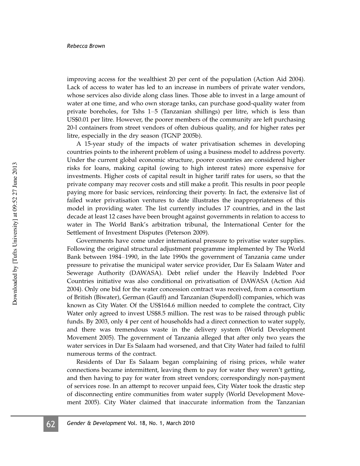improving access for the wealthiest 20 per cent of the population (Action Aid 2004). Lack of access to water has led to an increase in numbers of private water vendors, whose services also divide along class lines. Those able to invest in a large amount of water at one time, and who own storage tanks, can purchase good-quality water from private boreholes, for Tshs 1–5 (Tanzanian shillings) per litre, which is less than US\$0.01 per litre. However, the poorer members of the community are left purchasing 20-l containers from street vendors of often dubious quality, and for higher rates per litre, especially in the dry season (TGNP 2005b).

A 15-year study of the impacts of water privatisation schemes in developing countries points to the inherent problem of using a business model to address poverty. Under the current global economic structure, poorer countries are considered higher risks for loans, making capital (owing to high interest rates) more expensive for investments. Higher costs of capital result in higher tariff rates for users, so that the private company may recover costs and still make a profit. This results in poor people paying more for basic services, reinforcing their poverty. In fact, the extensive list of failed water privatisation ventures to date illustrates the inappropriateness of this model in providing water. The list currently includes 17 countries, and in the last decade at least 12 cases have been brought against governments in relation to access to water in The World Bank's arbitration tribunal, the International Center for the Settlement of Investment Disputes (Peterson 2009).

Governments have come under international pressure to privatise water supplies. Following the original structural adjustment programme implemented by The World Bank between 1984–1990, in the late 1990s the government of Tanzania came under pressure to privatise the municipal water service provider, Dar Es Salaam Water and Sewerage Authority (DAWASA). Debt relief under the Heavily Indebted Poor Countries initiative was also conditional on privatisation of DAWASA (Action Aid 2004). Only one bid for the water concession contract was received, from a consortium of British (Biwater), German (Gauff) and Tanzanian (Superdoll) companies, which was known as City Water. Of the US\$164.6 million needed to complete the contract, City Water only agreed to invest US\$8.5 million. The rest was to be raised through public funds. By 2003, only 4 per cent of households had a direct connection to water supply, and there was tremendous waste in the delivery system (World Development Movement 2005). The government of Tanzania alleged that after only two years the water services in Dar Es Salaam had worsened, and that City Water had failed to fulfil numerous terms of the contract.

Residents of Dar Es Salaam began complaining of rising prices, while water connections became intermittent, leaving them to pay for water they weren't getting, and then having to pay for water from street vendors; correspondingly non-payment of services rose. In an attempt to recover unpaid fees, City Water took the drastic step of disconnecting entire communities from water supply (World Development Movement 2005). City Water claimed that inaccurate information from the Tanzanian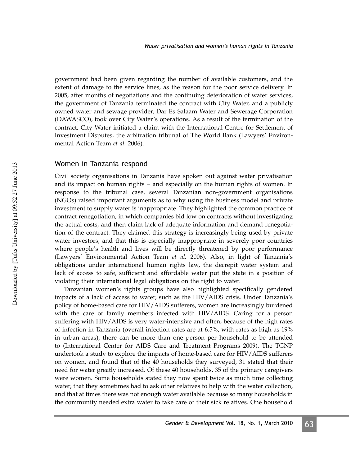government had been given regarding the number of available customers, and the extent of damage to the service lines, as the reason for the poor service delivery. In 2005, after months of negotiations and the continuing deterioration of water services, the government of Tanzania terminated the contract with City Water, and a publicly owned water and sewage provider, Dar Es Salaam Water and Sewerage Corporation (DAWASCO), took over City Water's operations. As a result of the termination of the contract, City Water initiated a claim with the International Centre for Settlement of Investment Disputes, the arbitration tribunal of The World Bank (Lawyers' Environmental Action Team et al. 2006).

#### Women in Tanzania respond

Civil society organisations in Tanzania have spoken out against water privatisation and its impact on human rights  $-$  and especially on the human rights of women. In response to the tribunal case, several Tanzanian non-government organisations (NGOs) raised important arguments as to why using the business model and private investment to supply water is inappropriate. They highlighted the common practice of contract renegotiation, in which companies bid low on contracts without investigating the actual costs, and then claim lack of adequate information and demand renegotiation of the contract. They claimed this strategy is increasingly being used by private water investors, and that this is especially inappropriate in severely poor countries where people's health and lives will be directly threatened by poor performance (Lawyers' Environmental Action Team et al. 2006). Also, in light of Tanzania's obligations under international human rights law, the decrepit water system and lack of access to safe, sufficient and affordable water put the state in a position of violating their international legal obligations on the right to water.

Tanzanian women's rights groups have also highlighted specifically gendered impacts of a lack of access to water, such as the HIV/AIDS crisis. Under Tanzania's policy of home-based care for HIV/AIDS sufferers, women are increasingly burdened with the care of family members infected with HIV/AIDS. Caring for a person suffering with HIV/AIDS is very water-intensive and often, because of the high rates of infection in Tanzania (overall infection rates are at 6.5%, with rates as high as 19% in urban areas), there can be more than one person per household to be attended to (International Center for AIDS Care and Treatment Programs 2009). The TGNP undertook a study to explore the impacts of home-based care for HIV/AIDS sufferers on women, and found that of the 40 households they surveyed, 31 stated that their need for water greatly increased. Of these 40 households, 35 of the primary caregivers were women. Some households stated they now spent twice as much time collecting water, that they sometimes had to ask other relatives to help with the water collection, and that at times there was not enough water available because so many households in the community needed extra water to take care of their sick relatives. One household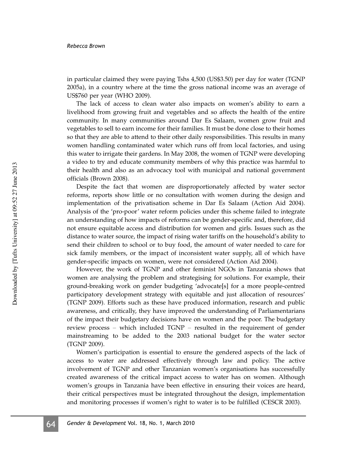in particular claimed they were paying Tshs 4,500 (US\$3.50) per day for water (TGNP 2005a), in a country where at the time the gross national income was an average of US\$760 per year (WHO 2009).

The lack of access to clean water also impacts on women's ability to earn a livelihood from growing fruit and vegetables and so affects the health of the entire community. In many communities around Dar Es Salaam, women grow fruit and vegetables to sell to earn income for their families. It must be done close to their homes so that they are able to attend to their other daily responsibilities. This results in many women handling contaminated water which runs off from local factories, and using this water to irrigate their gardens. In May 2008, the women of TGNP were developing a video to try and educate community members of why this practice was harmful to their health and also as an advocacy tool with municipal and national government officials (Brown 2008).

Despite the fact that women are disproportionately affected by water sector reforms, reports show little or no consultation with women during the design and implementation of the privatisation scheme in Dar Es Salaam (Action Aid 2004). Analysis of the 'pro-poor' water reform policies under this scheme failed to integrate an understanding of how impacts of reforms can be gender-specific and, therefore, did not ensure equitable access and distribution for women and girls. Issues such as the distance to water source, the impact of rising water tariffs on the household's ability to send their children to school or to buy food, the amount of water needed to care for sick family members, or the impact of inconsistent water supply, all of which have gender-specific impacts on women, were not considered (Action Aid 2004).

However, the work of TGNP and other feminist NGOs in Tanzania shows that women are analysing the problem and strategising for solutions. For example, their ground-breaking work on gender budgeting 'advocate[s] for a more people-centred participatory development strategy with equitable and just allocation of resources' (TGNP 2009). Efforts such as these have produced information, research and public awareness, and critically, they have improved the understanding of Parliamentarians of the impact their budgetary decisions have on women and the poor. The budgetary review process  $-$  which included TGNP  $-$  resulted in the requirement of gender mainstreaming to be added to the 2003 national budget for the water sector (TGNP 2009).

Women's participation is essential to ensure the gendered aspects of the lack of access to water are addressed effectively through law and policy. The active involvement of TGNP and other Tanzanian women's organisations has successfully created awareness of the critical impact access to water has on women. Although women's groups in Tanzania have been effective in ensuring their voices are heard, their critical perspectives must be integrated throughout the design, implementation and monitoring processes if women's right to water is to be fulfilled (CESCR 2003).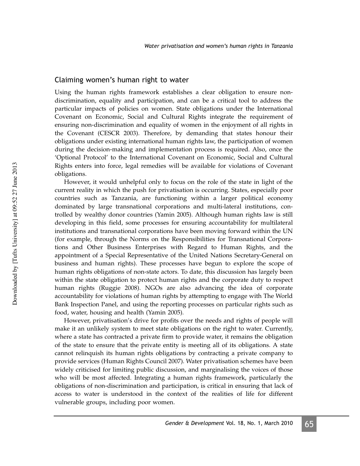#### Claiming women's human right to water

Using the human rights framework establishes a clear obligation to ensure nondiscrimination, equality and participation, and can be a critical tool to address the particular impacts of policies on women. State obligations under the International Covenant on Economic, Social and Cultural Rights integrate the requirement of ensuring non-discrimination and equality of women in the enjoyment of all rights in the Covenant (CESCR 2003). Therefore, by demanding that states honour their obligations under existing international human rights law, the participation of women during the decision-making and implementation process is required. Also, once the 'Optional Protocol' to the International Covenant on Economic, Social and Cultural Rights enters into force, legal remedies will be available for violations of Covenant obligations.

However, it would unhelpful only to focus on the role of the state in light of the current reality in which the push for privatisation is occurring. States, especially poor countries such as Tanzania, are functioning within a larger political economy dominated by large transnational corporations and multi-lateral institutions, controlled by wealthy donor countries (Yamin 2005). Although human rights law is still developing in this field, some processes for ensuring accountability for multilateral institutions and transnational corporations have been moving forward within the UN (for example, through the Norms on the Responsibilities for Transnational Corporations and Other Business Enterprises with Regard to Human Rights, and the appointment of a Special Representative of the United Nations Secretary-General on business and human rights). These processes have begun to explore the scope of human rights obligations of non-state actors. To date, this discussion has largely been within the state obligation to protect human rights and the corporate duty to respect human rights (Ruggie 2008). NGOs are also advancing the idea of corporate accountability for violations of human rights by attempting to engage with The World Bank Inspection Panel, and using the reporting processes on particular rights such as food, water, housing and health (Yamin 2005).

However, privatisation's drive for profits over the needs and rights of people will make it an unlikely system to meet state obligations on the right to water. Currently, where a state has contracted a private firm to provide water, it remains the obligation of the state to ensure that the private entity is meeting all of its obligations. A state cannot relinquish its human rights obligations by contracting a private company to provide services (Human Rights Council 2007). Water privatisation schemes have been widely criticised for limiting public discussion, and marginalising the voices of those who will be most affected. Integrating a human rights framework, particularly the obligations of non-discrimination and participation, is critical in ensuring that lack of access to water is understood in the context of the realities of life for different vulnerable groups, including poor women.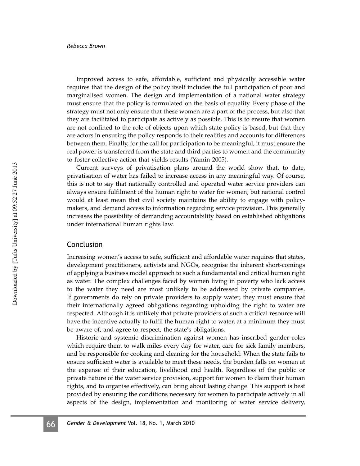Improved access to safe, affordable, sufficient and physically accessible water requires that the design of the policy itself includes the full participation of poor and marginalised women. The design and implementation of a national water strategy must ensure that the policy is formulated on the basis of equality. Every phase of the strategy must not only ensure that these women are a part of the process, but also that they are facilitated to participate as actively as possible. This is to ensure that women are not confined to the role of objects upon which state policy is based, but that they are actors in ensuring the policy responds to their realities and accounts for differences between them. Finally, for the call for participation to be meaningful, it must ensure the real power is transferred from the state and third parties to women and the community to foster collective action that yields results (Yamin 2005).

Current surveys of privatisation plans around the world show that, to date, privatisation of water has failed to increase access in any meaningful way. Of course, this is not to say that nationally controlled and operated water service providers can always ensure fulfilment of the human right to water for women; but national control would at least mean that civil society maintains the ability to engage with policymakers, and demand access to information regarding service provision. This generally increases the possibility of demanding accountability based on established obligations under international human rights law.

#### Conclusion

Increasing women's access to safe, sufficient and affordable water requires that states, development practitioners, activists and NGOs, recognise the inherent short-comings of applying a business model approach to such a fundamental and critical human right as water. The complex challenges faced by women living in poverty who lack access to the water they need are most unlikely to be addressed by private companies. If governments do rely on private providers to supply water, they must ensure that their internationally agreed obligations regarding upholding the right to water are respected. Although it is unlikely that private providers of such a critical resource will have the incentive actually to fulfil the human right to water, at a minimum they must be aware of, and agree to respect, the state's obligations.

Historic and systemic discrimination against women has inscribed gender roles which require them to walk miles every day for water, care for sick family members, and be responsible for cooking and cleaning for the household. When the state fails to ensure sufficient water is available to meet these needs, the burden falls on women at the expense of their education, livelihood and health. Regardless of the public or private nature of the water service provision, support for women to claim their human rights, and to organise effectively, can bring about lasting change. This support is best provided by ensuring the conditions necessary for women to participate actively in all aspects of the design, implementation and monitoring of water service delivery,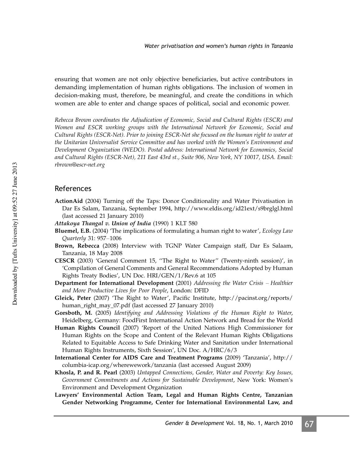ensuring that women are not only objective beneficiaries, but active contributors in demanding implementation of human rights obligations. The inclusion of women in decision-making must, therefore, be meaningful, and create the conditions in which women are able to enter and change spaces of political, social and economic power.

Rebecca Brown coordinates the Adjudication of Economic, Social and Cultural Rights (ESCR) and Women and ESCR working groups with the International Network for Economic, Social and Cultural Rights (ESCR-Net). Prior to joining ESCR-Net she focused on the human right to water at the Unitarian Universalist Service Committee and has worked with the Women's Environment and Development Organization (WEDO). Postal address: International Network for Economics, Social and Cultural Rights (ESCR-Net), 211 East 43rd st., Suite 906, New York, NY 10017, USA. Email: rbrown@escr-net.org

#### References

- ActionAid (2004) Turning off the Taps: Donor Conditionality and Water Privatisation in Dar Es Salam, Tanzania, September 1994, http://www.eldis.org/id21ext/s9brglgl.html (last accessed 21 January 2010)
- Attakoya Thangal v. Union of India (1990) 1 KLT 580
- Bluemel, E.B. (2004) 'The implications of formulating a human right to water', Ecology Law Quarterly 31: 957-1006
- Brown, Rebecca (2008) Interview with TGNP Water Campaign staff, Dar Es Salaam, Tanzania, 18 May 2008
- CESCR (2003) 'General Comment 15, ''The Right to Water'' (Twenty-ninth session)', in 'Compilation of General Comments and General Recommendations Adopted by Human Rights Treaty Bodies', UN Doc. HRI/GEN/1/Rev.6 at 105
- Department for International Development (2001) Addressing the Water Crisis Healthier and More Productive Lives for Poor People, London: DFID
- Gleick, Peter (2007) 'The Right to Water', Pacific Institute, http://pacinst.org/reports/ human\_right\_may\_07.pdf (last accessed 27 January 2010)
- Gorsboth, M. (2005) Identifying and Addressing Violations of the Human Right to Water, Heidelberg, Germany: FoodFirst International Action Network and Bread for the World
- Human Rights Council (2007) 'Report of the United Nations High Commissioner for Human Rights on the Scope and Content of the Relevant Human Rights Obligations Related to Equitable Access to Safe Drinking Water and Sanitation under International Human Rights Instruments, Sixth Session', UN Doc. A/HRC/6/3
- International Center for AIDS Care and Treatment Programs (2009) 'Tanzania', http:// columbia-icap.org/wherewework/tanzania (last accessed August 2009)
- Khosla, P. and R. Pearl (2003) Untapped Connections, Gender, Water and Poverty: Key Issues, Government Commitments and Actions for Sustainable Development, New York: Women's Environment and Development Organization
- Lawyers' Environmental Action Team, Legal and Human Rights Centre, Tanzanian Gender Networking Programme, Center for International Environmental Law, and